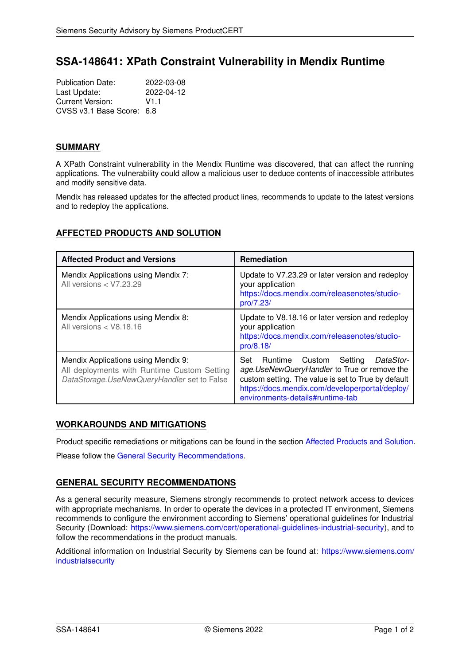# **SSA-148641: XPath Constraint Vulnerability in Mendix Runtime**

Publication Date: 2022-03-08<br>
Last Update: 2022-04-12 Last Update: Current Version: V1.1 CVSS v3.1 Base Score: 6.8

#### **SUMMARY**

A XPath Constraint vulnerability in the Mendix Runtime was discovered, that can affect the running applications. The vulnerability could allow a malicious user to deduce contents of inaccessible attributes and modify sensitive data.

Mendix has released updates for the affected product lines, recommends to update to the latest versions and to redeploy the applications.

# <span id="page-0-0"></span>**AFFECTED PRODUCTS AND SOLUTION**

| <b>Affected Product and Versions</b>                                                                                              | <b>Remediation</b>                                                                                                                                                                                                                        |
|-----------------------------------------------------------------------------------------------------------------------------------|-------------------------------------------------------------------------------------------------------------------------------------------------------------------------------------------------------------------------------------------|
| Mendix Applications using Mendix 7:<br>All versions < V7.23.29                                                                    | Update to V7.23.29 or later version and redeploy<br>your application<br>https://docs.mendix.com/releasenotes/studio-<br>pro/7.23/                                                                                                         |
| Mendix Applications using Mendix 8:<br>All versions $<$ V8.18.16                                                                  | Update to V8.18.16 or later version and redeploy<br>your application<br>https://docs.mendix.com/releasenotes/studio-<br>pro/8.18/                                                                                                         |
| Mendix Applications using Mendix 9:<br>All deployments with Runtime Custom Setting<br>DataStorage.UseNewQueryHandler set to False | Runtime Custom Setting<br>Set<br>DataStor-<br>age. UseNewQueryHandler to True or remove the<br>custom setting. The value is set to True by default<br>https://docs.mendix.com/developerportal/deploy/<br>environments-details#runtime-tab |

# **WORKAROUNDS AND MITIGATIONS**

Product specific remediations or mitigations can be found in the section [Affected Products and Solution.](#page-0-0) Please follow the [General Security Recommendations.](#page-0-1)

# <span id="page-0-1"></span>**GENERAL SECURITY RECOMMENDATIONS**

As a general security measure, Siemens strongly recommends to protect network access to devices with appropriate mechanisms. In order to operate the devices in a protected IT environment, Siemens recommends to configure the environment according to Siemens' operational guidelines for Industrial Security (Download: [https://www.siemens.com/cert/operational-guidelines-industrial-security\)](https://www.siemens.com/cert/operational-guidelines-industrial-security), and to follow the recommendations in the product manuals.

Additional information on Industrial Security by Siemens can be found at: [https://www.siemens.com/](https://www.siemens.com/industrialsecurity) [industrialsecurity](https://www.siemens.com/industrialsecurity)